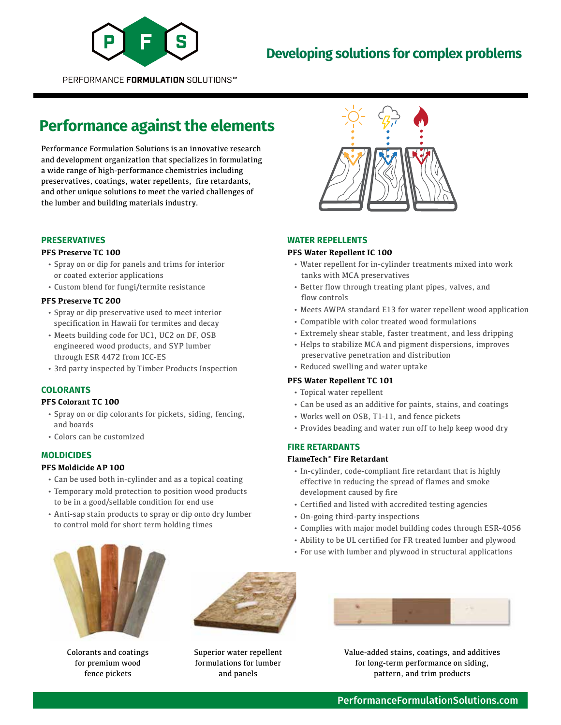

# **Developing solutions for complex problems**

PERFORMANCE FORMULATION SOLUTIONS™

# **Performance against the elements**

Performance Formulation Solutions is an innovative research and development organization that specializes in formulating a wide range of high-performance chemistries including preservatives, coatings, water repellents, fire retardants, and other unique solutions to meet the varied challenges of the lumber and building materials industry.

#### **PRESERVATIVES**

#### **PFS Preserve TC 100**

- Spray on or dip for panels and trims for interior or coated exterior applications
- Custom blend for fungi/termite resistance

#### **PFS Preserve TC 200**

- Spray or dip preservative used to meet interior specification in Hawaii for termites and decay
- Meets building code for UC1, UC2 on DF, OSB engineered wood products, and SYP lumber through ESR 4472 from ICC-ES
- 3rd party inspected by Timber Products Inspection

# **COLORANTS**

#### **PFS Colorant TC 100**

- Spray on or dip colorants for pickets, siding, fencing, and boards
- Colors can be customized

## **MOLDICIDES**

#### **PFS Moldicide AP 100**

- Can be used both in-cylinder and as a topical coating
- Temporary mold protection to position wood products to be in a good/sellable condition for end use
- Anti-sap stain products to spray or dip onto dry lumber to control mold for short term holding times



#### **WATER REPELLENTS**

### **PFS Water Repellent IC 100**

- Water repellent for in-cylinder treatments mixed into work tanks with MCA preservatives
- Better flow through treating plant pipes, valves, and flow controls
- Meets AWPA standard E13 for water repellent wood application
- Compatible with color treated wood formulations
- Extremely shear stable, faster treatment, and less dripping
- Helps to stabilize MCA and pigment dispersions, improves preservative penetration and distribution
- Reduced swelling and water uptake

# **PFS Water Repellent TC 101**

- Topical water repellent
- Can be used as an additive for paints, stains, and coatings
- Works well on OSB, T1-11, and fence pickets
- Provides beading and water run off to help keep wood dry

#### **FIRE RETARDANTS**

#### **FlameTech™ Fire Retardant**

- In-cylinder, code-compliant fire retardant that is highly effective in reducing the spread of flames and smoke development caused by fire
- Certified and listed with accredited testing agencies
- On-going third-party inspections
- Complies with major model building codes through ESR-4056
- Ability to be UL certified for FR treated lumber and plywood
- For use with lumber and plywood in structural applications



Colorants and coatings for premium wood fence pickets



Superior water repellent formulations for lumber and panels



Value-added stains, coatings, and additives for long-term performance on siding, pattern, and trim products